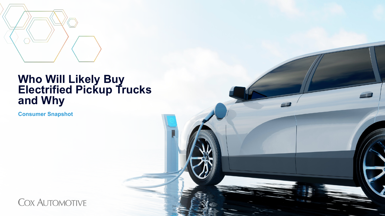

## **Who Will Likely Buy Electrified Pickup Trucks and Why**

**Consumer Snapshot**

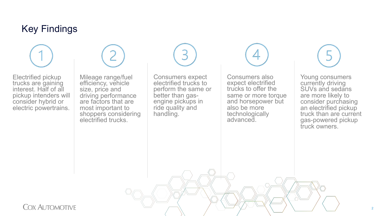### Key Findings

Electrified pickup trucks are gaining interest. Half of all pickup intenders will consider hybrid or electric powertrains.



Mileage range/fuel efficiency, vehicle size, price and driving performance are factors that are most important to shoppers considering electrified trucks.

Consumers expect electrified trucks to perform the same or better than gas-<br>engine pickups in ride quality and handling.

Consumers also expect electrified trucks to offer the same or more torque and horsepower but also be more technologically advanced.



Young consumers currently driving SUVs and sedans are more likely to consider purchasing an electrified pickup truck than are current gas-powered pickup truck owners.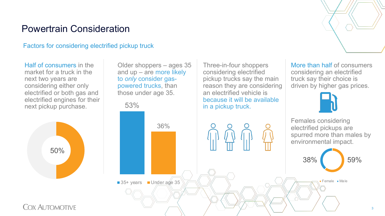### Powertrain Consideration

Factors for considering electrified pickup truck

Half of consumers in the market for a truck in the next two years are considering either only electrified or both gas and electrified engines for their next pickup purchase.



Older shoppers – ages 35 and up – are more likely to *only* consider gaspowered trucks, than those under age 35.



Three-in-four shoppers considering electrified

an electrified vehicle is

pickup trucks say the main reason they are considering More than half of consumers considering an electrified truck say their choice is driven by higher gas prices.



Females considering electrified pickups are spurred more than males by environmental impact.

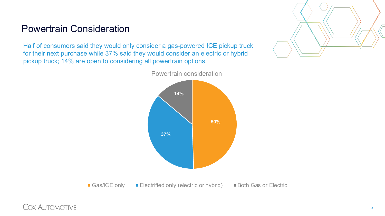### Powertrain Consideration

Half of consumers said they would only consider a gas-powered ICE pickup truck for their next purchase while 37% said they would consider an electric or hybrid pickup truck; 14% are open to considering all powertrain options.



■ Gas/ICE only ■ Electrified only (electric or hybrid) ■ Both Gas or Electric

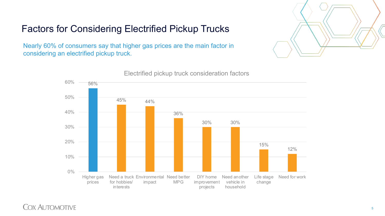

# Factors for Considering Electrified Pickup Trucks

Nearly 60% of consumers say that higher gas prices are the main factor in considering an electrified pickup truck.



Electrified pickup truck consideration factors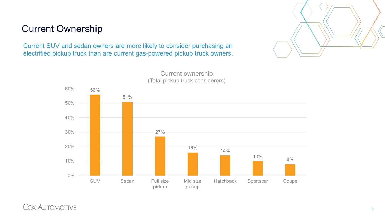### Current Ownership

Current SUV and sedan owners are more likely to consider purchasing an electrified pickup truck than are current gas-powered pickup truck owners.





Current ownership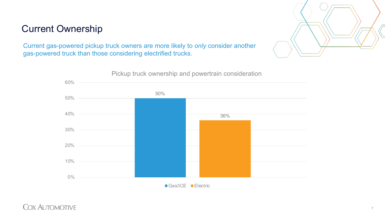## Current Ownership



Current gas-powered pickup truck owners are more likely to *only* consider another gas-powered truck than those considering electrified trucks.

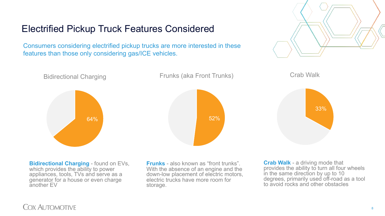Electrified Pickup Truck Features Considered

Consumers considering electrified pickup trucks are more interested in these features than those only considering gas/ICE vehicles.





Bidirectional Charging



Frunks (aka Front Trunks)





**Bidirectional Charging** - found on EVs, which provides the ability to power appliances, tools, TVs and serve as a generator for a house or even charge another EV

**Frunks** - also known as "front trunks". With the absence of an engine and the down-low placement of electric motors, electric trucks have more room for storage.

**Crab Walk** - a driving mode that provides the ability to turn all four wheels in the same direction by up to 10 degrees, primarily used off-road as a tool to avoid rocks and other obstacles